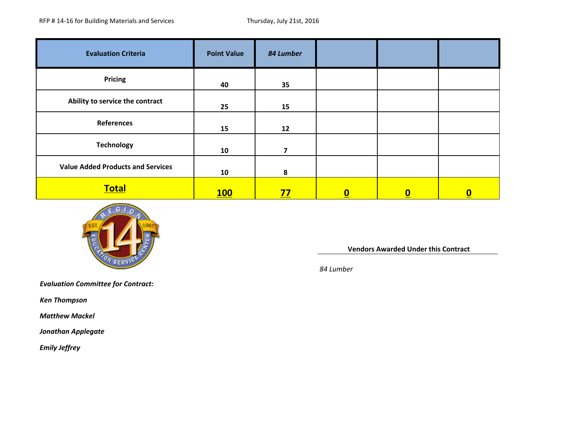| <b>Evaluation Criteria</b>               | <b>Point Value</b> | 84 Lumber |                          |                         |          |
|------------------------------------------|--------------------|-----------|--------------------------|-------------------------|----------|
| <b>Pricing</b>                           | 40                 | 35        |                          |                         |          |
| Ability to service the contract          | 25                 | 15        |                          |                         |          |
| <b>References</b>                        | 15                 | 12        |                          |                         |          |
| <b>Technology</b>                        | 10                 | 7         |                          |                         |          |
| <b>Value Added Products and Services</b> | 10                 | 8         |                          |                         |          |
| <b>Total</b>                             | 100                | <u>77</u> | $\underline{\mathbf{0}}$ | $\overline{\mathbf{0}}$ | <u>0</u> |



**Vendors Awarded Under this Contract** 

*84 Lumber*

*Evaluation Committee for Contract:* 

*Ken Thompson*

 *Matthew Mackel*

*Jonathan Applegate*

 *Emily Jeffrey*